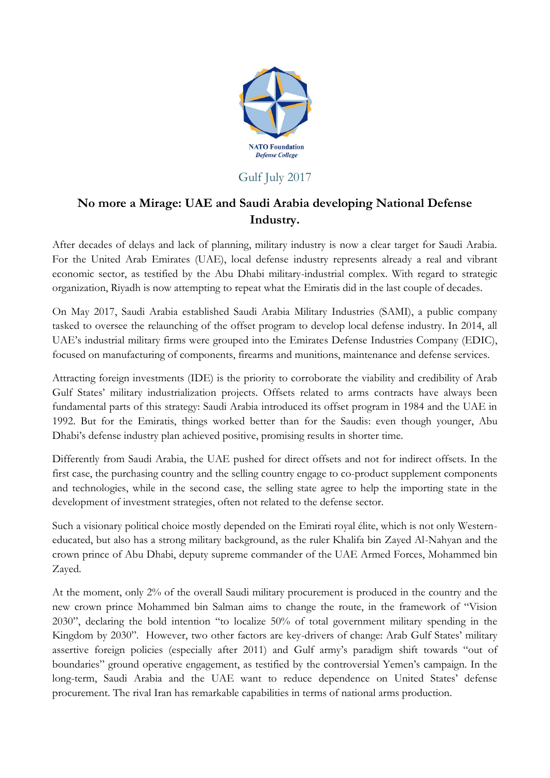

## Gulf July 2017

## **No more a Mirage: UAE and Saudi Arabia developing National Defense Industry.**

After decades of delays and lack of planning, military industry is now a clear target for Saudi Arabia. For the United Arab Emirates (UAE), local defense industry represents already a real and vibrant economic sector, as testified by the Abu Dhabi military-industrial complex. With regard to strategic organization, Riyadh is now attempting to repeat what the Emiratis did in the last couple of decades.

On May 2017, Saudi Arabia established Saudi Arabia Military Industries (SAMI), a public company tasked to oversee the relaunching of the offset program to develop local defense industry. In 2014, all UAE's industrial military firms were grouped into the Emirates Defense Industries Company (EDIC), focused on manufacturing of components, firearms and munitions, maintenance and defense services.

Attracting foreign investments (IDE) is the priority to corroborate the viability and credibility of Arab Gulf States' military industrialization projects. Offsets related to arms contracts have always been fundamental parts of this strategy: Saudi Arabia introduced its offset program in 1984 and the UAE in 1992. But for the Emiratis, things worked better than for the Saudis: even though younger, Abu Dhabi's defense industry plan achieved positive, promising results in shorter time.

Differently from Saudi Arabia, the UAE pushed for direct offsets and not for indirect offsets. In the first case, the purchasing country and the selling country engage to co-product supplement components and technologies, while in the second case, the selling state agree to help the importing state in the development of investment strategies, often not related to the defense sector.

Such a visionary political choice mostly depended on the Emirati royal élite, which is not only Westerneducated, but also has a strong military background, as the ruler Khalifa bin Zayed Al-Nahyan and the crown prince of Abu Dhabi, deputy supreme commander of the UAE Armed Forces, Mohammed bin Zayed.

At the moment, only 2% of the overall Saudi military procurement is produced in the country and the new crown prince Mohammed bin Salman aims to change the route, in the framework of "Vision 2030", declaring the bold intention "to localize 50% of total government military spending in the Kingdom by 2030". However, two other factors are key-drivers of change: Arab Gulf States' military assertive foreign policies (especially after 2011) and Gulf army's paradigm shift towards "out of boundaries" ground operative engagement, as testified by the controversial Yemen's campaign. In the long-term, Saudi Arabia and the UAE want to reduce dependence on United States' defense procurement. The rival Iran has remarkable capabilities in terms of national arms production.